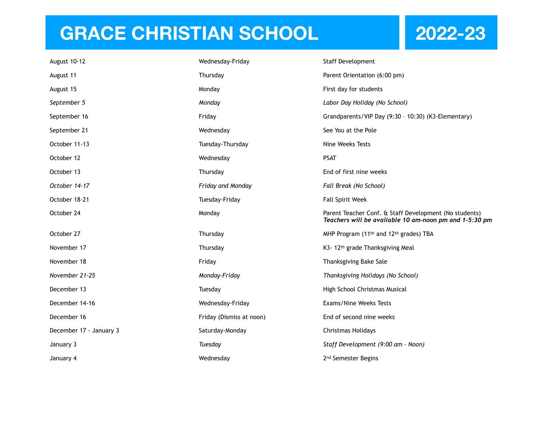## **GRACE CHRISTIAN SCHOOL 2022-23**

| August 10-12            | Wednesday-Friday         | Staff Development                                                                                                |
|-------------------------|--------------------------|------------------------------------------------------------------------------------------------------------------|
| August 11               | Thursday                 | Parent Orientation (6:00 pm)                                                                                     |
| August 15               | Monday                   | First day for students                                                                                           |
| September 5             | Monday                   | Labor Day Holiday (No School)                                                                                    |
| September 16            | Friday                   | Grandparents/VIP Day (9:30 - 10:30) (K3-Elementary)                                                              |
| September 21            | Wednesday                | See You at the Pole                                                                                              |
| October 11-13           | Tuesday-Thursday         | Nine Weeks Tests                                                                                                 |
| October 12              | Wednesday                | <b>PSAT</b>                                                                                                      |
| October 13              | Thursday                 | End of first nine weeks                                                                                          |
| October 14-17           | Friday and Monday        | Fall Break (No School)                                                                                           |
| October 18-21           | Tuesday-Friday           | <b>Fall Spirit Week</b>                                                                                          |
| October 24              | Monday                   | Parent Teacher Conf. & Staff Development (No students)<br>Teachers will be available 10 am-noon pm and 1-5:30 pm |
| October 27              | Thursday                 | MHP Program (11 <sup>th</sup> and 12 <sup>th</sup> grades) TBA                                                   |
| November 17             | Thursday                 | K3- 12th grade Thanksgiving Meal                                                                                 |
| November 18             | Friday                   | Thanksgiving Bake Sale                                                                                           |
| November 21-25          | Monday-Friday            | Thanksgiving Holidays (No School)                                                                                |
| December 13             | Tuesday                  | High School Christmas Musical                                                                                    |
| December 14-16          | Wednesday-Friday         | Exams/Nine Weeks Tests                                                                                           |
| December 16             | Friday (Dismiss at noon) | End of second nine weeks                                                                                         |
| December 17 - January 3 | Saturday-Monday          | Christmas Holidays                                                                                               |
| January 3               | Tuesday                  | Staff Development (9:00 am - Noon)                                                                               |
| January 4               | Wednesday                | 2 <sup>nd</sup> Semester Begins                                                                                  |
|                         |                          |                                                                                                                  |